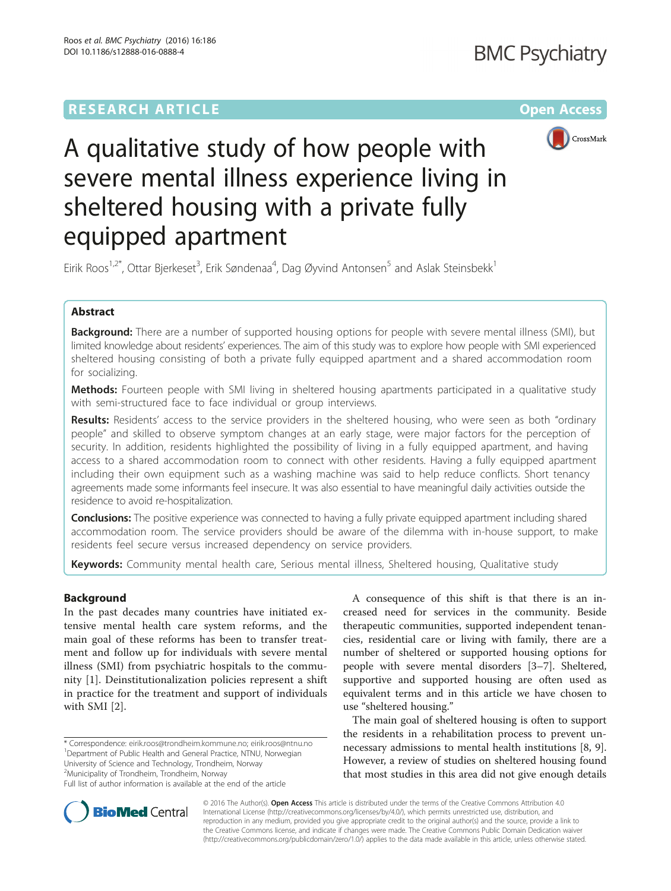# **RESEARCH ARTICLE External Structure Community Community Community Community Community Community Community Community**



# A qualitative study of how people with severe mental illness experience living in sheltered housing with a private fully equipped apartment

Eirik Roos<sup>1,2\*</sup>, Ottar Bjerkeset<sup>3</sup>, Erik Søndenaa<sup>4</sup>, Dag Øyvind Antonsen<sup>5</sup> and Aslak Steinsbekk<sup>1</sup>

## Abstract

**Background:** There are a number of supported housing options for people with severe mental illness (SMI), but limited knowledge about residents' experiences. The aim of this study was to explore how people with SMI experienced sheltered housing consisting of both a private fully equipped apartment and a shared accommodation room for socializing.

Methods: Fourteen people with SMI living in sheltered housing apartments participated in a qualitative study with semi-structured face to face individual or group interviews.

Results: Residents' access to the service providers in the sheltered housing, who were seen as both "ordinary people" and skilled to observe symptom changes at an early stage, were major factors for the perception of security. In addition, residents highlighted the possibility of living in a fully equipped apartment, and having access to a shared accommodation room to connect with other residents. Having a fully equipped apartment including their own equipment such as a washing machine was said to help reduce conflicts. Short tenancy agreements made some informants feel insecure. It was also essential to have meaningful daily activities outside the residence to avoid re-hospitalization.

**Conclusions:** The positive experience was connected to having a fully private equipped apartment including shared accommodation room. The service providers should be aware of the dilemma with in-house support, to make residents feel secure versus increased dependency on service providers.

Keywords: Community mental health care, Serious mental illness, Sheltered housing, Qualitative study

#### Background

In the past decades many countries have initiated extensive mental health care system reforms, and the main goal of these reforms has been to transfer treatment and follow up for individuals with severe mental illness (SMI) from psychiatric hospitals to the community [\[1](#page-7-0)]. Deinstitutionalization policies represent a shift in practice for the treatment and support of individuals with SMI [[2\]](#page-7-0).

\* Correspondence: [eirik.roos@trondheim.kommune.no](mailto:eirik.roos@trondheim.kommune.no); [eirik.roos@ntnu.no](mailto:eirik.roos@ntnu.no) <sup>1</sup> <sup>1</sup> Department of Public Health and General Practice, NTNU, Norwegian

University of Science and Technology, Trondheim, Norway

<sup>2</sup>Municipality of Trondheim, Trondheim, Norway

Full list of author information is available at the end of the article

A consequence of this shift is that there is an increased need for services in the community. Beside therapeutic communities, supported independent tenancies, residential care or living with family, there are a number of sheltered or supported housing options for people with severe mental disorders [[3](#page-7-0)–[7](#page-7-0)]. Sheltered, supportive and supported housing are often used as equivalent terms and in this article we have chosen to use "sheltered housing."

The main goal of sheltered housing is often to support the residents in a rehabilitation process to prevent unnecessary admissions to mental health institutions [\[8, 9](#page-7-0)]. However, a review of studies on sheltered housing found that most studies in this area did not give enough details



© 2016 The Author(s). Open Access This article is distributed under the terms of the Creative Commons Attribution 4.0 International License [\(http://creativecommons.org/licenses/by/4.0/](http://creativecommons.org/licenses/by/4.0/)), which permits unrestricted use, distribution, and reproduction in any medium, provided you give appropriate credit to the original author(s) and the source, provide a link to the Creative Commons license, and indicate if changes were made. The Creative Commons Public Domain Dedication waiver [\(http://creativecommons.org/publicdomain/zero/1.0/](http://creativecommons.org/publicdomain/zero/1.0/)) applies to the data made available in this article, unless otherwise stated.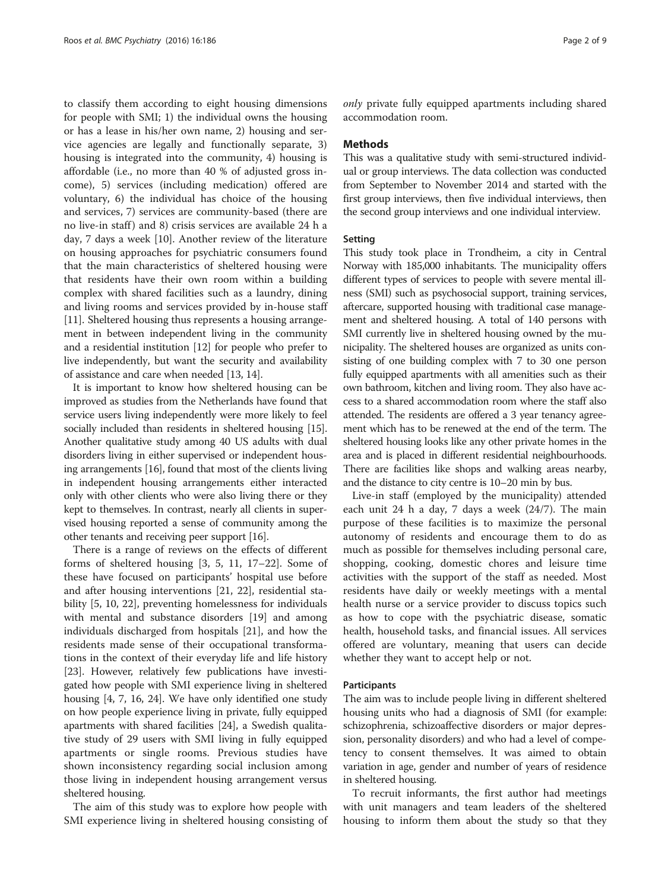to classify them according to eight housing dimensions for people with SMI; 1) the individual owns the housing or has a lease in his/her own name, 2) housing and service agencies are legally and functionally separate, 3) housing is integrated into the community, 4) housing is affordable (i.e., no more than 40 % of adjusted gross income), 5) services (including medication) offered are voluntary, 6) the individual has choice of the housing and services, 7) services are community-based (there are no live-in staff ) and 8) crisis services are available 24 h a day, 7 days a week [\[10\]](#page-7-0). Another review of the literature on housing approaches for psychiatric consumers found that the main characteristics of sheltered housing were that residents have their own room within a building complex with shared facilities such as a laundry, dining and living rooms and services provided by in-house staff [[11\]](#page-7-0). Sheltered housing thus represents a housing arrangement in between independent living in the community and a residential institution [[12](#page-7-0)] for people who prefer to live independently, but want the security and availability of assistance and care when needed [\[13, 14](#page-7-0)].

It is important to know how sheltered housing can be improved as studies from the Netherlands have found that service users living independently were more likely to feel socially included than residents in sheltered housing [[15](#page-7-0)]. Another qualitative study among 40 US adults with dual disorders living in either supervised or independent housing arrangements [[16](#page-7-0)], found that most of the clients living in independent housing arrangements either interacted only with other clients who were also living there or they kept to themselves. In contrast, nearly all clients in supervised housing reported a sense of community among the other tenants and receiving peer support [[16](#page-7-0)].

There is a range of reviews on the effects of different forms of sheltered housing [\[3](#page-7-0), [5](#page-7-0), [11, 17](#page-7-0)–[22](#page-7-0)]. Some of these have focused on participants' hospital use before and after housing interventions [[21, 22](#page-7-0)], residential stability [\[5](#page-7-0), [10](#page-7-0), [22](#page-7-0)], preventing homelessness for individuals with mental and substance disorders [\[19](#page-7-0)] and among individuals discharged from hospitals [[21\]](#page-7-0), and how the residents made sense of their occupational transformations in the context of their everyday life and life history [[23\]](#page-7-0). However, relatively few publications have investigated how people with SMI experience living in sheltered housing [[4, 7](#page-7-0), [16, 24\]](#page-7-0). We have only identified one study on how people experience living in private, fully equipped apartments with shared facilities [[24](#page-7-0)], a Swedish qualitative study of 29 users with SMI living in fully equipped apartments or single rooms. Previous studies have shown inconsistency regarding social inclusion among those living in independent housing arrangement versus sheltered housing.

The aim of this study was to explore how people with SMI experience living in sheltered housing consisting of only private fully equipped apartments including shared accommodation room.

#### Methods

This was a qualitative study with semi-structured individual or group interviews. The data collection was conducted from September to November 2014 and started with the first group interviews, then five individual interviews, then the second group interviews and one individual interview.

#### Setting

This study took place in Trondheim, a city in Central Norway with 185,000 inhabitants. The municipality offers different types of services to people with severe mental illness (SMI) such as psychosocial support, training services, aftercare, supported housing with traditional case management and sheltered housing. A total of 140 persons with SMI currently live in sheltered housing owned by the municipality. The sheltered houses are organized as units consisting of one building complex with 7 to 30 one person fully equipped apartments with all amenities such as their own bathroom, kitchen and living room. They also have access to a shared accommodation room where the staff also attended. The residents are offered a 3 year tenancy agreement which has to be renewed at the end of the term. The sheltered housing looks like any other private homes in the area and is placed in different residential neighbourhoods. There are facilities like shops and walking areas nearby, and the distance to city centre is 10–20 min by bus.

Live-in staff (employed by the municipality) attended each unit 24 h a day, 7 days a week (24/7). The main purpose of these facilities is to maximize the personal autonomy of residents and encourage them to do as much as possible for themselves including personal care, shopping, cooking, domestic chores and leisure time activities with the support of the staff as needed. Most residents have daily or weekly meetings with a mental health nurse or a service provider to discuss topics such as how to cope with the psychiatric disease, somatic health, household tasks, and financial issues. All services offered are voluntary, meaning that users can decide whether they want to accept help or not.

#### **Participants**

The aim was to include people living in different sheltered housing units who had a diagnosis of SMI (for example: schizophrenia, schizoaffective disorders or major depression, personality disorders) and who had a level of competency to consent themselves. It was aimed to obtain variation in age, gender and number of years of residence in sheltered housing.

To recruit informants, the first author had meetings with unit managers and team leaders of the sheltered housing to inform them about the study so that they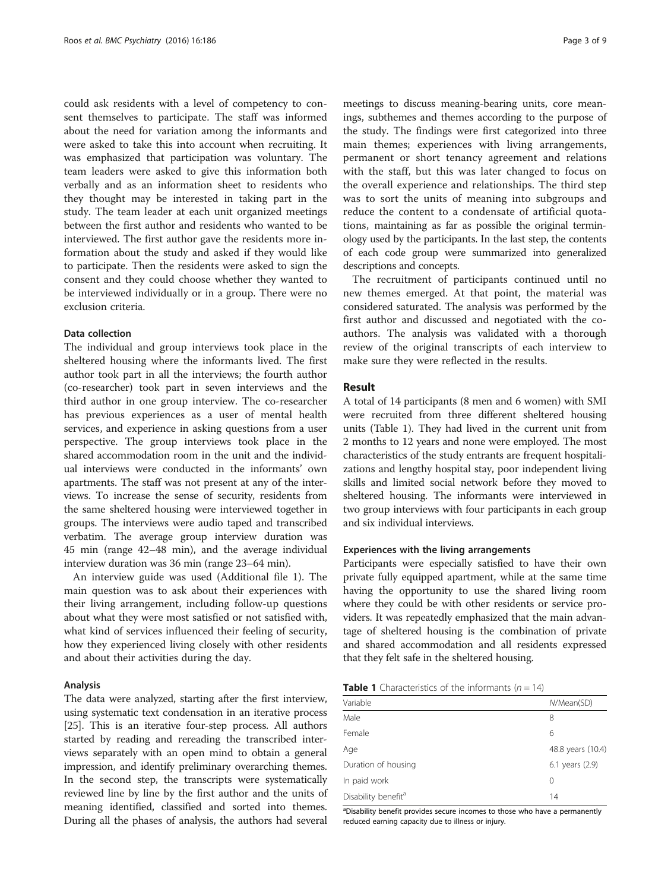could ask residents with a level of competency to consent themselves to participate. The staff was informed about the need for variation among the informants and were asked to take this into account when recruiting. It was emphasized that participation was voluntary. The team leaders were asked to give this information both verbally and as an information sheet to residents who they thought may be interested in taking part in the study. The team leader at each unit organized meetings between the first author and residents who wanted to be interviewed. The first author gave the residents more information about the study and asked if they would like to participate. Then the residents were asked to sign the consent and they could choose whether they wanted to be interviewed individually or in a group. There were no exclusion criteria.

#### Data collection

The individual and group interviews took place in the sheltered housing where the informants lived. The first author took part in all the interviews; the fourth author (co-researcher) took part in seven interviews and the third author in one group interview. The co-researcher has previous experiences as a user of mental health services, and experience in asking questions from a user perspective. The group interviews took place in the shared accommodation room in the unit and the individual interviews were conducted in the informants' own apartments. The staff was not present at any of the interviews. To increase the sense of security, residents from the same sheltered housing were interviewed together in groups. The interviews were audio taped and transcribed verbatim. The average group interview duration was 45 min (range 42–48 min), and the average individual interview duration was 36 min (range 23–64 min).

An interview guide was used (Additional file [1\)](#page-6-0). The main question was to ask about their experiences with their living arrangement, including follow-up questions about what they were most satisfied or not satisfied with, what kind of services influenced their feeling of security, how they experienced living closely with other residents and about their activities during the day.

#### Analysis

The data were analyzed, starting after the first interview, using systematic text condensation in an iterative process [[25](#page-7-0)]. This is an iterative four-step process. All authors started by reading and rereading the transcribed interviews separately with an open mind to obtain a general impression, and identify preliminary overarching themes. In the second step, the transcripts were systematically reviewed line by line by the first author and the units of meaning identified, classified and sorted into themes. During all the phases of analysis, the authors had several

meetings to discuss meaning-bearing units, core meanings, subthemes and themes according to the purpose of the study. The findings were first categorized into three main themes; experiences with living arrangements, permanent or short tenancy agreement and relations with the staff, but this was later changed to focus on the overall experience and relationships. The third step was to sort the units of meaning into subgroups and reduce the content to a condensate of artificial quotations, maintaining as far as possible the original terminology used by the participants. In the last step, the contents of each code group were summarized into generalized descriptions and concepts.

The recruitment of participants continued until no new themes emerged. At that point, the material was considered saturated. The analysis was performed by the first author and discussed and negotiated with the coauthors. The analysis was validated with a thorough review of the original transcripts of each interview to make sure they were reflected in the results.

#### Result

A total of 14 participants (8 men and 6 women) with SMI were recruited from three different sheltered housing units (Table 1). They had lived in the current unit from 2 months to 12 years and none were employed. The most characteristics of the study entrants are frequent hospitalizations and lengthy hospital stay, poor independent living skills and limited social network before they moved to sheltered housing. The informants were interviewed in two group interviews with four participants in each group and six individual interviews.

#### Experiences with the living arrangements

Participants were especially satisfied to have their own private fully equipped apartment, while at the same time having the opportunity to use the shared living room where they could be with other residents or service providers. It was repeatedly emphasized that the main advantage of sheltered housing is the combination of private and shared accommodation and all residents expressed that they felt safe in the sheltered housing.

| <b>Table 1</b> Characteristics of the informants ( $n = 14$ ) |  |
|---------------------------------------------------------------|--|
|---------------------------------------------------------------|--|

| Variable                        | N/Mean(SD)        |
|---------------------------------|-------------------|
| Male                            | 8                 |
| Female                          | 6                 |
| Age                             | 48.8 years (10.4) |
| Duration of housing             | 6.1 years (2.9)   |
| In paid work                    | 0                 |
| Disability benefit <sup>a</sup> | 14                |

<sup>a</sup>Disability benefit provides secure incomes to those who have a permanently reduced earning capacity due to illness or injury.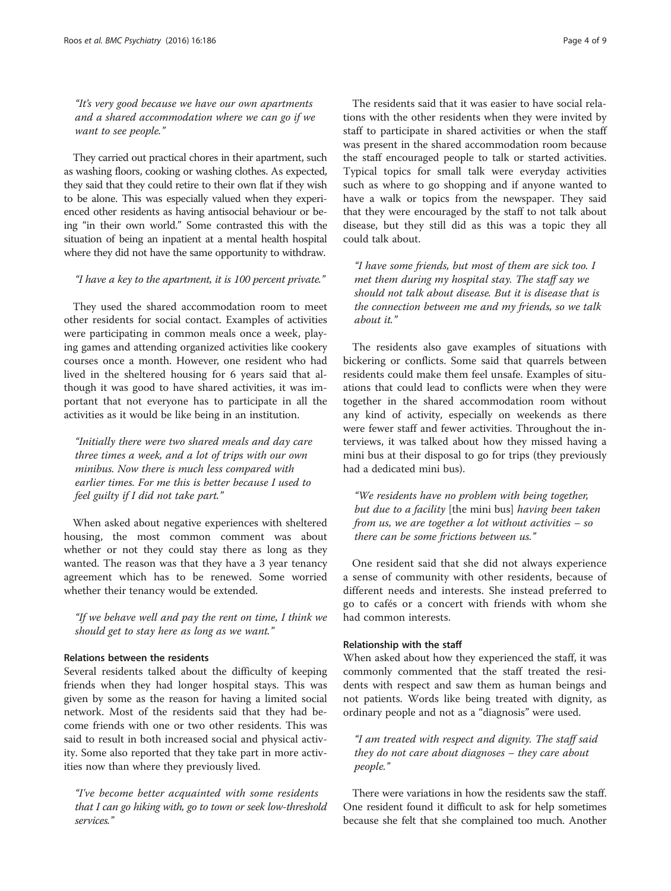"It's very good because we have our own apartments and a shared accommodation where we can go if we want to see people."

They carried out practical chores in their apartment, such as washing floors, cooking or washing clothes. As expected, they said that they could retire to their own flat if they wish to be alone. This was especially valued when they experienced other residents as having antisocial behaviour or being "in their own world." Some contrasted this with the situation of being an inpatient at a mental health hospital where they did not have the same opportunity to withdraw.

### "I have a key to the apartment, it is 100 percent private."

They used the shared accommodation room to meet other residents for social contact. Examples of activities were participating in common meals once a week, playing games and attending organized activities like cookery courses once a month. However, one resident who had lived in the sheltered housing for 6 years said that although it was good to have shared activities, it was important that not everyone has to participate in all the activities as it would be like being in an institution.

"Initially there were two shared meals and day care three times a week, and a lot of trips with our own minibus. Now there is much less compared with earlier times. For me this is better because I used to feel guilty if I did not take part."

When asked about negative experiences with sheltered housing, the most common comment was about whether or not they could stay there as long as they wanted. The reason was that they have a 3 year tenancy agreement which has to be renewed. Some worried whether their tenancy would be extended.

"If we behave well and pay the rent on time, I think we should get to stay here as long as we want."

#### Relations between the residents

Several residents talked about the difficulty of keeping friends when they had longer hospital stays. This was given by some as the reason for having a limited social network. Most of the residents said that they had become friends with one or two other residents. This was said to result in both increased social and physical activity. Some also reported that they take part in more activities now than where they previously lived.

"I've become better acquainted with some residents that I can go hiking with, go to town or seek low-threshold services."

The residents said that it was easier to have social relations with the other residents when they were invited by staff to participate in shared activities or when the staff was present in the shared accommodation room because the staff encouraged people to talk or started activities. Typical topics for small talk were everyday activities such as where to go shopping and if anyone wanted to have a walk or topics from the newspaper. They said that they were encouraged by the staff to not talk about disease, but they still did as this was a topic they all could talk about.

"I have some friends, but most of them are sick too. I met them during my hospital stay. The staff say we should not talk about disease. But it is disease that is the connection between me and my friends, so we talk about it."

The residents also gave examples of situations with bickering or conflicts. Some said that quarrels between residents could make them feel unsafe. Examples of situations that could lead to conflicts were when they were together in the shared accommodation room without any kind of activity, especially on weekends as there were fewer staff and fewer activities. Throughout the interviews, it was talked about how they missed having a mini bus at their disposal to go for trips (they previously had a dedicated mini bus).

"We residents have no problem with being together, but due to a facility [the mini bus] having been taken from us, we are together a lot without activities – so there can be some frictions between us."

One resident said that she did not always experience a sense of community with other residents, because of different needs and interests. She instead preferred to go to cafés or a concert with friends with whom she had common interests.

#### Relationship with the staff

When asked about how they experienced the staff, it was commonly commented that the staff treated the residents with respect and saw them as human beings and not patients. Words like being treated with dignity, as ordinary people and not as a "diagnosis" were used.

"I am treated with respect and dignity. The staff said they do not care about diagnoses – they care about people."

There were variations in how the residents saw the staff. One resident found it difficult to ask for help sometimes because she felt that she complained too much. Another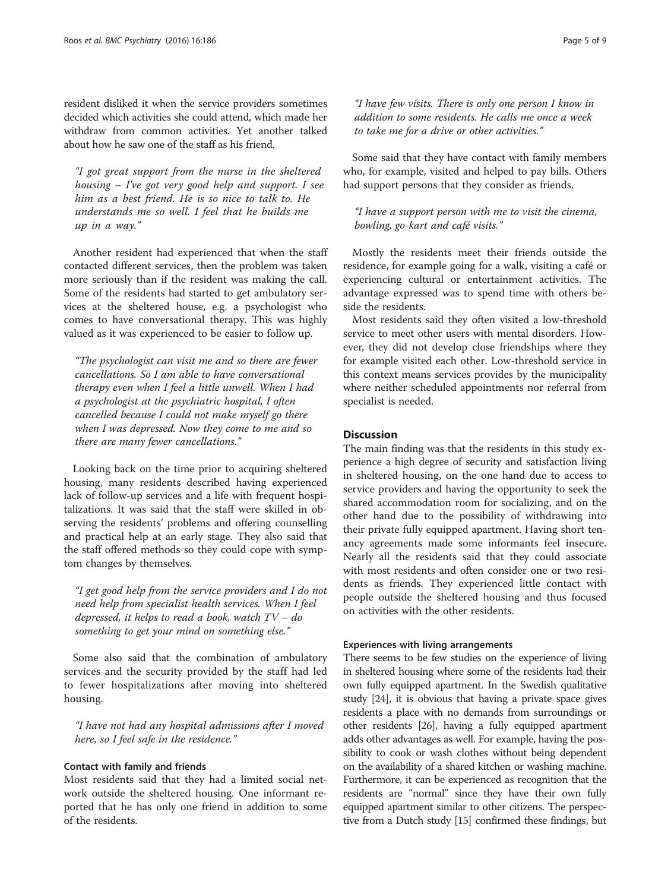resident disliked it when the service providers sometimes decided which activities she could attend, which made her withdraw from common activities. Yet another talked about how he saw one of the staff as his friend.

"I got great support from the nurse in the sheltered housing – I've got very good help and support. I see him as a best friend. He is so nice to talk to. He understands me so well. I feel that he builds me up in a way."

Another resident had experienced that when the staff contacted different services, then the problem was taken more seriously than if the resident was making the call. Some of the residents had started to get ambulatory services at the sheltered house, e.g. a psychologist who comes to have conversational therapy. This was highly valued as it was experienced to be easier to follow up.

"The psychologist can visit me and so there are fewer cancellations. So I am able to have conversational therapy even when I feel a little unwell. When I had a psychologist at the psychiatric hospital, I often cancelled because I could not make myself go there when I was depressed. Now they come to me and so there are many fewer cancellations."

Looking back on the time prior to acquiring sheltered housing, many residents described having experienced lack of follow-up services and a life with frequent hospitalizations. It was said that the staff were skilled in observing the residents' problems and offering counselling and practical help at an early stage. They also said that the staff offered methods so they could cope with symptom changes by themselves.

"I get good help from the service providers and I do not need help from specialist health services. When I feel depressed, it helps to read a book, watch  $TV - do$ something to get your mind on something else."

Some also said that the combination of ambulatory services and the security provided by the staff had led to fewer hospitalizations after moving into sheltered housing.

"I have not had any hospital admissions after I moved here, so I feel safe in the residence."

#### Contact with family and friends

Most residents said that they had a limited social network outside the sheltered housing. One informant reported that he has only one friend in addition to some of the residents.

"I have few visits. There is only one person I know in addition to some residents. He calls me once a week to take me for a drive or other activities."

Some said that they have contact with family members who, for example, visited and helped to pay bills. Others had support persons that they consider as friends.

"I have a support person with me to visit the cinema, bowling, go-kart and café visits."

Mostly the residents meet their friends outside the residence, for example going for a walk, visiting a café or experiencing cultural or entertainment activities. The advantage expressed was to spend time with others beside the residents.

Most residents said they often visited a low-threshold service to meet other users with mental disorders. However, they did not develop close friendships where they for example visited each other. Low-threshold service in this context means services provides by the municipality where neither scheduled appointments nor referral from specialist is needed.

#### **Discussion**

The main finding was that the residents in this study experience a high degree of security and satisfaction living in sheltered housing, on the one hand due to access to service providers and having the opportunity to seek the shared accommodation room for socializing, and on the other hand due to the possibility of withdrawing into their private fully equipped apartment. Having short tenancy agreements made some informants feel insecure. Nearly all the residents said that they could associate with most residents and often consider one or two residents as friends. They experienced little contact with people outside the sheltered housing and thus focused on activities with the other residents.

#### Experiences with living arrangements

There seems to be few studies on the experience of living in sheltered housing where some of the residents had their own fully equipped apartment. In the Swedish qualitative study [\[24](#page-7-0)], it is obvious that having a private space gives residents a place with no demands from surroundings or other residents [\[26\]](#page-7-0), having a fully equipped apartment adds other advantages as well. For example, having the possibility to cook or wash clothes without being dependent on the availability of a shared kitchen or washing machine. Furthermore, it can be experienced as recognition that the residents are "normal" since they have their own fully equipped apartment similar to other citizens. The perspective from a Dutch study [\[15\]](#page-7-0) confirmed these findings, but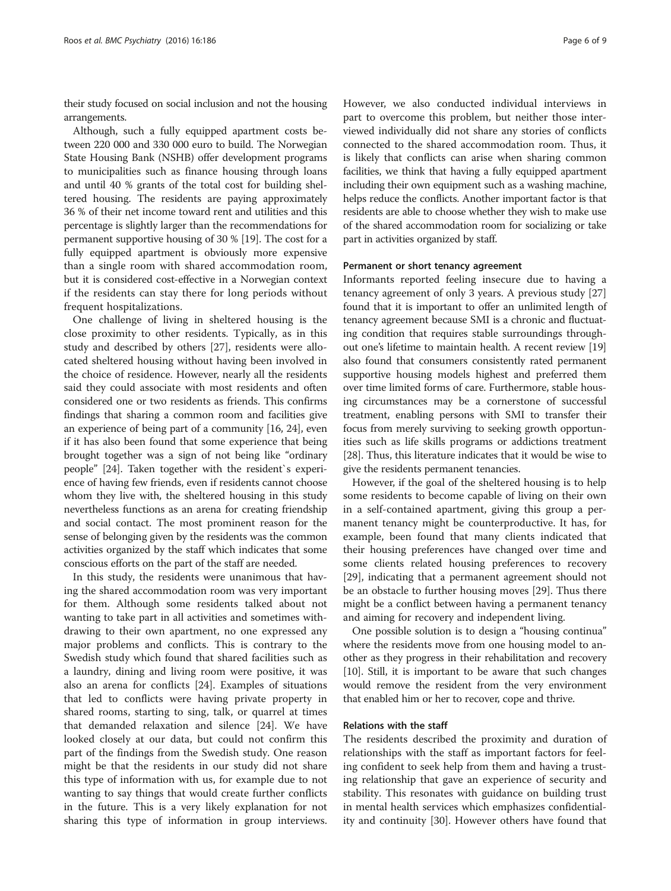their study focused on social inclusion and not the housing arrangements.

Although, such a fully equipped apartment costs between 220 000 and 330 000 euro to build. The Norwegian State Housing Bank (NSHB) offer development programs to municipalities such as finance housing through loans and until 40 % grants of the total cost for building sheltered housing. The residents are paying approximately 36 % of their net income toward rent and utilities and this percentage is slightly larger than the recommendations for permanent supportive housing of 30 % [\[19\]](#page-7-0). The cost for a fully equipped apartment is obviously more expensive than a single room with shared accommodation room, but it is considered cost-effective in a Norwegian context if the residents can stay there for long periods without frequent hospitalizations.

One challenge of living in sheltered housing is the close proximity to other residents. Typically, as in this study and described by others [[27\]](#page-8-0), residents were allocated sheltered housing without having been involved in the choice of residence. However, nearly all the residents said they could associate with most residents and often considered one or two residents as friends. This confirms findings that sharing a common room and facilities give an experience of being part of a community [[16](#page-7-0), [24\]](#page-7-0), even if it has also been found that some experience that being brought together was a sign of not being like "ordinary people" [\[24\]](#page-7-0). Taken together with the resident`s experience of having few friends, even if residents cannot choose whom they live with, the sheltered housing in this study nevertheless functions as an arena for creating friendship and social contact. The most prominent reason for the sense of belonging given by the residents was the common activities organized by the staff which indicates that some conscious efforts on the part of the staff are needed.

In this study, the residents were unanimous that having the shared accommodation room was very important for them. Although some residents talked about not wanting to take part in all activities and sometimes withdrawing to their own apartment, no one expressed any major problems and conflicts. This is contrary to the Swedish study which found that shared facilities such as a laundry, dining and living room were positive, it was also an arena for conflicts [\[24\]](#page-7-0). Examples of situations that led to conflicts were having private property in shared rooms, starting to sing, talk, or quarrel at times that demanded relaxation and silence [[24\]](#page-7-0). We have looked closely at our data, but could not confirm this part of the findings from the Swedish study. One reason might be that the residents in our study did not share this type of information with us, for example due to not wanting to say things that would create further conflicts in the future. This is a very likely explanation for not sharing this type of information in group interviews. However, we also conducted individual interviews in part to overcome this problem, but neither those interviewed individually did not share any stories of conflicts connected to the shared accommodation room. Thus, it is likely that conflicts can arise when sharing common facilities, we think that having a fully equipped apartment including their own equipment such as a washing machine, helps reduce the conflicts. Another important factor is that residents are able to choose whether they wish to make use of the shared accommodation room for socializing or take part in activities organized by staff.

#### Permanent or short tenancy agreement

Informants reported feeling insecure due to having a tenancy agreement of only 3 years. A previous study [[27](#page-8-0)] found that it is important to offer an unlimited length of tenancy agreement because SMI is a chronic and fluctuating condition that requires stable surroundings throughout one's lifetime to maintain health. A recent review [[19](#page-7-0)] also found that consumers consistently rated permanent supportive housing models highest and preferred them over time limited forms of care. Furthermore, stable housing circumstances may be a cornerstone of successful treatment, enabling persons with SMI to transfer their focus from merely surviving to seeking growth opportunities such as life skills programs or addictions treatment [[28](#page-8-0)]. Thus, this literature indicates that it would be wise to give the residents permanent tenancies.

However, if the goal of the sheltered housing is to help some residents to become capable of living on their own in a self-contained apartment, giving this group a permanent tenancy might be counterproductive. It has, for example, been found that many clients indicated that their housing preferences have changed over time and some clients related housing preferences to recovery [[29\]](#page-8-0), indicating that a permanent agreement should not be an obstacle to further housing moves [[29\]](#page-8-0). Thus there might be a conflict between having a permanent tenancy and aiming for recovery and independent living.

One possible solution is to design a "housing continua" where the residents move from one housing model to another as they progress in their rehabilitation and recovery [[10](#page-7-0)]. Still, it is important to be aware that such changes would remove the resident from the very environment that enabled him or her to recover, cope and thrive.

#### Relations with the staff

The residents described the proximity and duration of relationships with the staff as important factors for feeling confident to seek help from them and having a trusting relationship that gave an experience of security and stability. This resonates with guidance on building trust in mental health services which emphasizes confidentiality and continuity [\[30\]](#page-8-0). However others have found that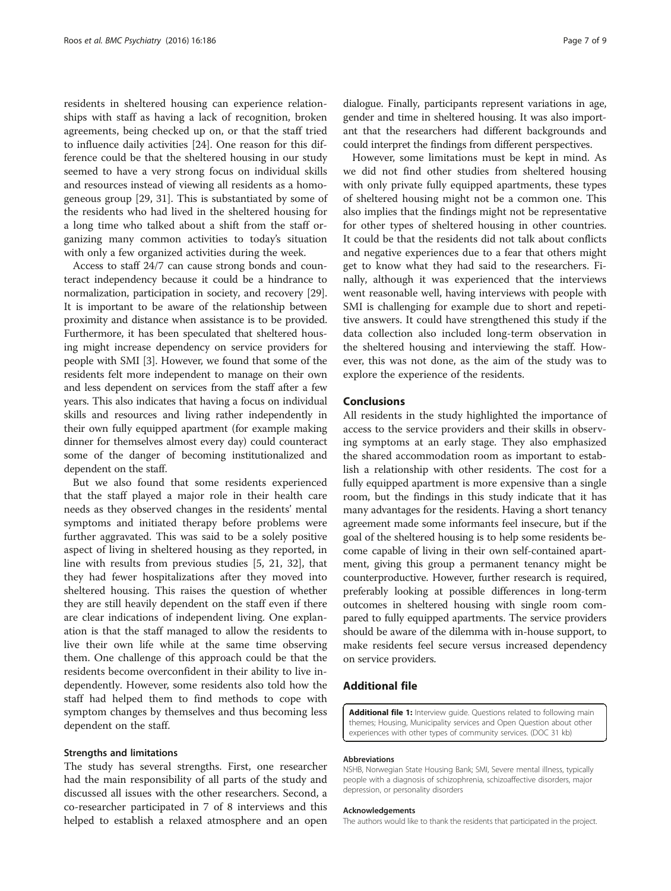<span id="page-6-0"></span>residents in sheltered housing can experience relationships with staff as having a lack of recognition, broken agreements, being checked up on, or that the staff tried to influence daily activities [[24](#page-7-0)]. One reason for this difference could be that the sheltered housing in our study seemed to have a very strong focus on individual skills and resources instead of viewing all residents as a homogeneous group [\[29](#page-8-0), [31\]](#page-8-0). This is substantiated by some of the residents who had lived in the sheltered housing for a long time who talked about a shift from the staff organizing many common activities to today's situation with only a few organized activities during the week.

Access to staff 24/7 can cause strong bonds and counteract independency because it could be a hindrance to normalization, participation in society, and recovery [[29](#page-8-0)]. It is important to be aware of the relationship between proximity and distance when assistance is to be provided. Furthermore, it has been speculated that sheltered housing might increase dependency on service providers for people with SMI [\[3\]](#page-7-0). However, we found that some of the residents felt more independent to manage on their own and less dependent on services from the staff after a few years. This also indicates that having a focus on individual skills and resources and living rather independently in their own fully equipped apartment (for example making dinner for themselves almost every day) could counteract some of the danger of becoming institutionalized and dependent on the staff.

But we also found that some residents experienced that the staff played a major role in their health care needs as they observed changes in the residents' mental symptoms and initiated therapy before problems were further aggravated. This was said to be a solely positive aspect of living in sheltered housing as they reported, in line with results from previous studies [[5, 21,](#page-7-0) [32\]](#page-8-0), that they had fewer hospitalizations after they moved into sheltered housing. This raises the question of whether they are still heavily dependent on the staff even if there are clear indications of independent living. One explanation is that the staff managed to allow the residents to live their own life while at the same time observing them. One challenge of this approach could be that the residents become overconfident in their ability to live independently. However, some residents also told how the staff had helped them to find methods to cope with symptom changes by themselves and thus becoming less dependent on the staff.

#### Strengths and limitations

The study has several strengths. First, one researcher had the main responsibility of all parts of the study and discussed all issues with the other researchers. Second, a co-researcher participated in 7 of 8 interviews and this helped to establish a relaxed atmosphere and an open

dialogue. Finally, participants represent variations in age, gender and time in sheltered housing. It was also important that the researchers had different backgrounds and could interpret the findings from different perspectives.

However, some limitations must be kept in mind. As we did not find other studies from sheltered housing with only private fully equipped apartments, these types of sheltered housing might not be a common one. This also implies that the findings might not be representative for other types of sheltered housing in other countries. It could be that the residents did not talk about conflicts and negative experiences due to a fear that others might get to know what they had said to the researchers. Finally, although it was experienced that the interviews went reasonable well, having interviews with people with SMI is challenging for example due to short and repetitive answers. It could have strengthened this study if the data collection also included long-term observation in the sheltered housing and interviewing the staff. However, this was not done, as the aim of the study was to explore the experience of the residents.

#### Conclusions

All residents in the study highlighted the importance of access to the service providers and their skills in observing symptoms at an early stage. They also emphasized the shared accommodation room as important to establish a relationship with other residents. The cost for a fully equipped apartment is more expensive than a single room, but the findings in this study indicate that it has many advantages for the residents. Having a short tenancy agreement made some informants feel insecure, but if the goal of the sheltered housing is to help some residents become capable of living in their own self-contained apartment, giving this group a permanent tenancy might be counterproductive. However, further research is required, preferably looking at possible differences in long-term outcomes in sheltered housing with single room compared to fully equipped apartments. The service providers should be aware of the dilemma with in-house support, to make residents feel secure versus increased dependency on service providers.

#### Additional file

[Additional file 1:](dx.doi.org/10.1186/s12888-016-0888-4) Interview guide. Questions related to following main themes; Housing, Municipality services and Open Question about other experiences with other types of community services. (DOC 31 kb)

#### Abbreviations

NSHB, Norwegian State Housing Bank; SMI, Severe mental illness, typically people with a diagnosis of schizophrenia, schizoaffective disorders, major depression, or personality disorders

#### Acknowledgements

The authors would like to thank the residents that participated in the project.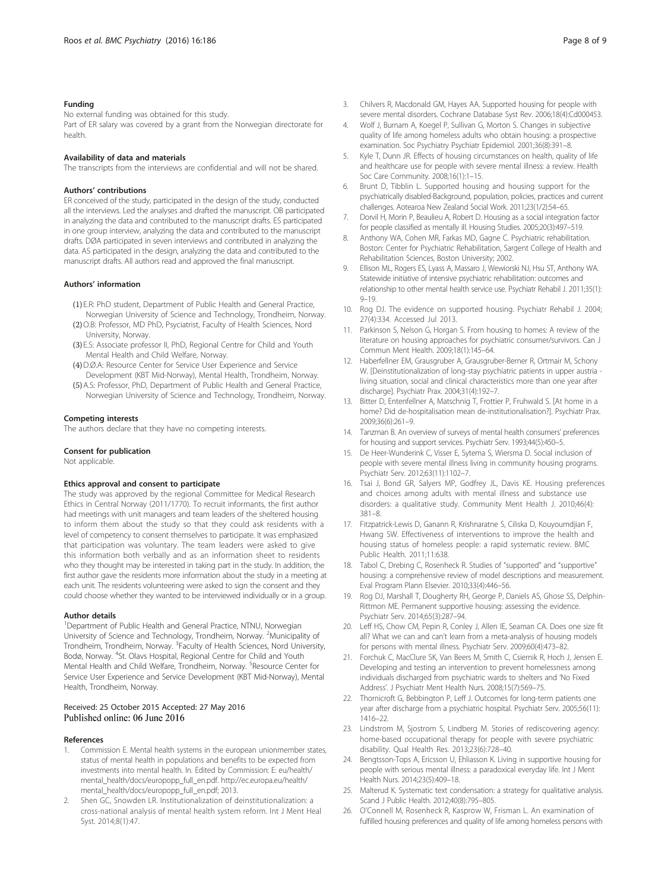#### <span id="page-7-0"></span>Funding

No external funding was obtained for this study.

Part of ER salary was covered by a grant from the Norwegian directorate for health.

#### Availability of data and materials

The transcripts from the interviews are confidential and will not be shared.

#### Authors' contributions

ER conceived of the study, participated in the design of the study, conducted all the interviews. Led the analyses and drafted the manuscript. OB participated in analyzing the data and contributed to the manuscript drafts. ES participated in one group interview, analyzing the data and contributed to the manuscript drafts. DØA participated in seven interviews and contributed in analyzing the data. AS participated in the design, analyzing the data and contributed to the manuscript drafts. All authors read and approved the final manuscript.

#### Authors' information

- (1)E.R: PhD student, Department of Public Health and General Practice, Norwegian University of Science and Technology, Trondheim, Norway.
- (2)O.B: Professor, MD PhD, Psyciatrist, Faculty of Health Sciences, Nord University, Norway.
- (3)E.S: Associate professor II, PhD, Regional Centre for Child and Youth Mental Health and Child Welfare, Norway.
- (4)D.Ø.A: Resource Center for Service User Experience and Service Development (KBT Mid-Norway), Mental Health, Trondheim, Norway.
- (5)A.S: Professor, PhD, Department of Public Health and General Practice, Norwegian University of Science and Technology, Trondheim, Norway.

#### Competing interests

The authors declare that they have no competing interests.

#### Consent for publication

Not applicable.

#### Ethics approval and consent to participate

The study was approved by the regional Committee for Medical Research Ethics in Central Norway (2011/1770). To recruit informants, the first author had meetings with unit managers and team leaders of the sheltered housing to inform them about the study so that they could ask residents with a level of competency to consent themselves to participate. It was emphasized that participation was voluntary. The team leaders were asked to give this information both verbally and as an information sheet to residents who they thought may be interested in taking part in the study. In addition, the first author gave the residents more information about the study in a meeting at each unit. The residents volunteering were asked to sign the consent and they could choose whether they wanted to be interviewed individually or in a group.

#### Author details

<sup>1</sup>Department of Public Health and General Practice, NTNU, Norwegian University of Science and Technology, Trondheim, Norway. <sup>2</sup>Municipality of Trondheim, Trondheim, Norway. <sup>3</sup> Faculty of Health Sciences, Nord University, Bodø, Norway. <sup>4</sup>St. Olavs Hospital, Regional Centre for Child and Youth Mental Health and Child Welfare, Trondheim, Norway. <sup>5</sup>Resource Center for Service User Experience and Service Development (KBT Mid-Norway), Mental Health, Trondheim, Norway.

#### Received: 25 October 2015 Accepted: 27 May 2016 Published online: 06 June 2016

#### References

- 1. Commission E. Mental health systems in the european unionmember states, status of mental health in populations and benefits to be expected from investments into mental health. In. Edited by Commission: E: eu/health/ mental\_health/docs/europopp\_full\_en.pdf. [http://ec.europa.eu/health/](http://ec.europa.eu/health/mental_health/docs/europopp_full_en.pdf) [mental\\_health/docs/europopp\\_full\\_en.pdf](http://ec.europa.eu/health/mental_health/docs/europopp_full_en.pdf); 2013.
- 2. Shen GC, Snowden LR. Institutionalization of deinstitutionalization: a cross-national analysis of mental health system reform. Int J Ment Heal Syst. 2014;8(1):47.
- 3. Chilvers R, Macdonald GM, Hayes AA. Supported housing for people with severe mental disorders. Cochrane Database Syst Rev. 2006;18(4):Cd000453.
- 4. Wolf J, Burnam A, Koegel P, Sullivan G, Morton S. Changes in subjective quality of life among homeless adults who obtain housing: a prospective examination. Soc Psychiatry Psychiatr Epidemiol. 2001;36(8):391–8.
- 5. Kyle T, Dunn JR. Effects of housing circumstances on health, quality of life and healthcare use for people with severe mental illness: a review. Health Soc Care Community. 2008;16(1):1–15.
- 6. Brunt D, Tibblin L. Supported housing and housing support for the psychiatrically disabled-Background, population, policies, practices and current challenges. Aotearoa New Zealand Social Work. 2011;23(1/2):54–65.
- 7. Dorvil H, Morin P, Beaulieu A, Robert D. Housing as a social integration factor for people classified as mentally ill. Housing Studies. 2005;20(3):497–519.
- 8. Anthony WA, Cohen MR, Farkas MD, Gagne C. Psychiatric rehabilitation. Boston: Center for Psychiatric Rehabilitation, Sargent College of Health and Rehabilitation Sciences, Boston University; 2002.
- 9. Ellison ML, Rogers ES, Lyass A, Massaro J, Wewiorski NJ, Hsu ST, Anthony WA. Statewide initiative of intensive psychiatric rehabilitation: outcomes and relationship to other mental health service use. Psychiatr Rehabil J. 2011;35(1): 9–19.
- 10. Rog DJ. The evidence on supported housing. Psychiatr Rehabil J. 2004; 27(4):334. Accessed Jul 2013.
- 11. Parkinson S, Nelson G, Horgan S. From housing to homes: A review of the literature on housing approaches for psychiatric consumer/survivors. Can J Commun Ment Health. 2009;18(1):145–64.
- 12. Haberfellner EM, Grausgruber A, Grausgruber-Berner R, Ortmair M, Schony W. [Deinstitutionalization of long-stay psychiatric patients in upper austria living situation, social and clinical characteristics more than one year after discharge]. Psychiatr Prax. 2004;31(4):192–7.
- 13. Bitter D, Entenfellner A, Matschnig T, Frottier P, Fruhwald S. [At home in a home? Did de-hospitalisation mean de-institutionalisation?]. Psychiatr Prax. 2009;36(6):261–9.
- 14. Tanzman B. An overview of surveys of mental health consumers' preferences for housing and support services. Psychiatr Serv. 1993;44(5):450–5.
- 15. De Heer-Wunderink C, Visser E, Sytema S, Wiersma D. Social inclusion of people with severe mental illness living in community housing programs. Psychiatr Serv. 2012;63(11):1102–7.
- 16. Tsai J, Bond GR, Salyers MP, Godfrey JL, Davis KE. Housing preferences and choices among adults with mental illness and substance use disorders: a qualitative study. Community Ment Health J. 2010;46(4): 381–8.
- 17. Fitzpatrick-Lewis D, Ganann R, Krishnaratne S, Ciliska D, Kouyoumdjian F, Hwang SW. Effectiveness of interventions to improve the health and housing status of homeless people: a rapid systematic review. BMC Public Health. 2011;11:638.
- 18. Tabol C, Drebing C, Rosenheck R. Studies of "supported" and "supportive" housing: a comprehensive review of model descriptions and measurement. Eval Program Plann Elsevier. 2010;33(4):446–56.
- 19. Rog DJ, Marshall T, Dougherty RH, George P, Daniels AS, Ghose SS, Delphin-Rittmon ME. Permanent supportive housing: assessing the evidence. Psychiatr Serv. 2014;65(3):287–94.
- 20. Leff HS, Chow CM, Pepin R, Conley J, Allen IE, Seaman CA. Does one size fit all? What we can and can't learn from a meta-analysis of housing models for persons with mental illness. Psychiatr Serv. 2009;60(4):473–82.
- 21. Forchuk C, MacClure SK, Van Beers M, Smith C, Csiernik R, Hoch J, Jensen E. Developing and testing an intervention to prevent homelessness among individuals discharged from psychiatric wards to shelters and 'No Fixed Address'. J Psychiatr Ment Health Nurs. 2008;15(7):569–75.
- 22. Thornicroft G, Bebbington P, Leff J. Outcomes for long-term patients one year after discharge from a psychiatric hospital. Psychiatr Serv. 2005;56(11): 1416–22.
- 23. Lindstrom M, Sjostrom S, Lindberg M. Stories of rediscovering agency: home-based occupational therapy for people with severe psychiatric disability. Qual Health Res. 2013;23(6):728–40.
- 24. Bengtsson-Tops A, Ericsson U, Ehliasson K. Living in supportive housing for people with serious mental illness: a paradoxical everyday life. Int J Ment Health Nurs. 2014;23(5):409–18.
- 25. Malterud K. Systematic text condensation: a strategy for qualitative analysis. Scand J Public Health. 2012;40(8):795–805.
- 26. O'Connell M, Rosenheck R, Kasprow W, Frisman L. An examination of fulfilled housing preferences and quality of life among homeless persons with